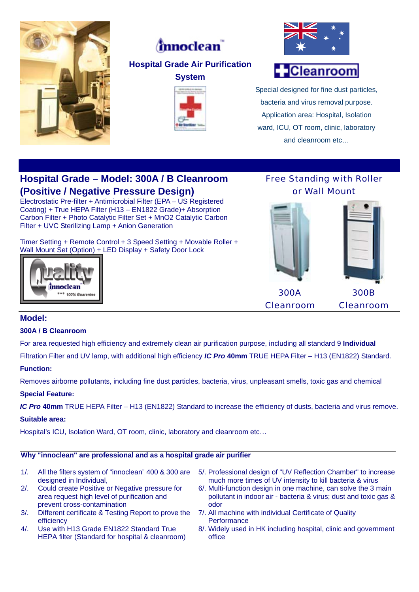

# *innoclean*

## **Hospital Grade Air Purification**







# **Cleanroom**

Special designed for fine dust particles, bacteria and virus removal purpose. Application area: Hospital, Isolation ward, ICU, OT room, clinic, laboratory and cleanroom etc…

## **Hospital Grade – Model: 300A / B Cleanroom (Positive / Negative Pressure Design)**

Electrostatic Pre-filter + Antimicrobial Filter (EPA – US Registered Coating) + True HEPA Filter (H13 – EN1822 Grade)+ Absorption Carbon Filter + Photo Catalytic Filter Set + MnO2 Catalytic Carbon Filter + UVC Sterilizing Lamp + Anion Generation

Timer Setting + Remote Control + 3 Speed Setting + Movable Roller + Wall Mount Set (Option) + LED Display + Safety Door Lock





Free Standing with Roller

### **Model:**

#### **300A / B Cleanroom**

For area requested high efficiency and extremely clean air purification purpose, including all standard 9 **Individual**

Filtration Filter and UV lamp, with additional high efficiency *IC Pro* **40mm** TRUE HEPA Filter – H13 (EN1822) Standard.

#### **Function:**

Removes airborne pollutants, including fine dust particles, bacteria, virus, unpleasant smells, toxic gas and chemical

#### **Special Feature:**

*IC Pro* **40mm** TRUE HEPA Filter – H13 (EN1822) Standard to increase the efficiency of dusts, bacteria and virus remove.

#### **Suitable area:**

Hospital's ICU, Isolation Ward, OT room, clinic, laboratory and cleanroom etc…

#### **Why "innoclean" are professional and as a hospital grade air purifier**

- 1/. All the filters system of "innoclean" 400 & 300 are designed in Individual,
- 2/. Could create Positive or Negative pressure for area request high level of purification and prevent cross-contamination
- 3/. Different certificate & Testing Report to prove the efficiency
- 4/. Use with H13 Grade EN1822 Standard True HEPA filter (Standard for hospital & cleanroom)
- 5/. Professional design of "UV Reflection Chamber" to increase much more times of UV intensity to kill bacteria & virus
- 6/. Multi-function design in one machine, can solve the 3 main pollutant in indoor air - bacteria & virus; dust and toxic gas & odor
- 7/. All machine with individual Certificate of Quality **Performance**
- 8/. Widely used in HK including hospital, clinic and government office